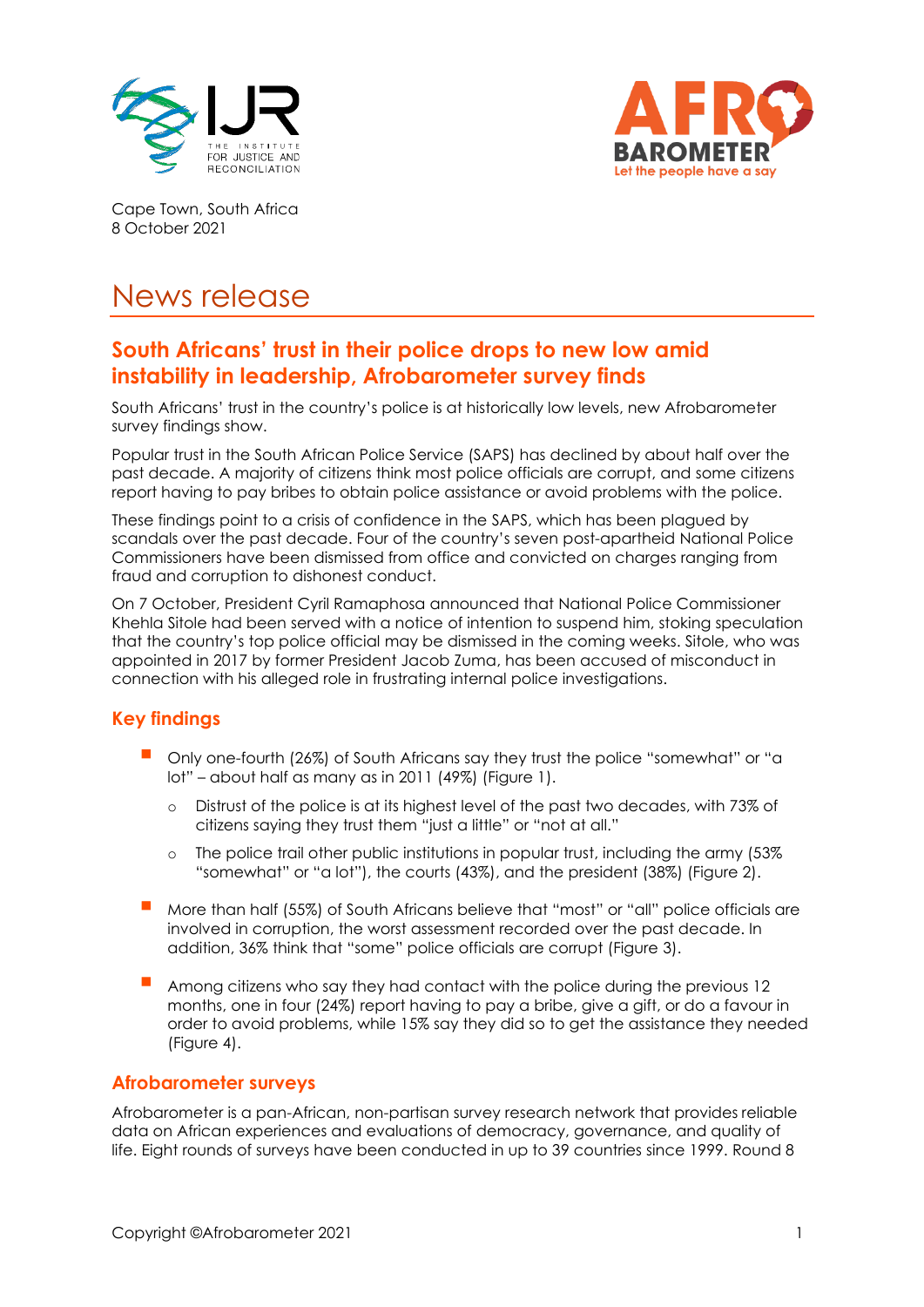



Cape Town, South Africa 8 October 2021

# News release

## **South Africans' trust in their police drops to new low amid instability in leadership, Afrobarometer survey finds**

South Africans' trust in the country's police is at historically low levels, new Afrobarometer survey findings show.

Popular trust in the South African Police Service (SAPS) has declined by about half over the past decade. A majority of citizens think most police officials are corrupt, and some citizens report having to pay bribes to obtain police assistance or avoid problems with the police.

These findings point to a crisis of confidence in the SAPS, which has been plagued by scandals over the past decade. Four of the country's seven post-apartheid National Police Commissioners have been dismissed from office and convicted on charges ranging from fraud and corruption to dishonest conduct.

On 7 October, President Cyril Ramaphosa announced that National Police Commissioner Khehla Sitole had been served with a notice of intention to suspend him, stoking speculation that the country's top police official may be dismissed in the coming weeks. Sitole, who was appointed in 2017 by former President Jacob Zuma, has been accused of misconduct in connection with his alleged role in frustrating internal police investigations.

## **Key findings**

- Only one-fourth (26%) of South Africans say they trust the police "somewhat" or "a lot" – about half as many as in 2011 (49%) (Figure 1).
	- o Distrust of the police is at its highest level of the past two decades, with 73% of citizens saying they trust them "just a little" or "not at all."
	- $\circ$  The police trail other public institutions in popular trust, including the army (53%) "somewhat" or "a lot"), the courts (43%), and the president (38%) (Figure 2).
- More than half (55%) of South Africans believe that "most" or "all" police officials are involved in corruption, the worst assessment recorded over the past decade. In addition, 36% think that "some" police officials are corrupt (Figure 3).
- Among citizens who say they had contact with the police during the previous 12 months, one in four (24%) report having to pay a bribe, give a gift, or do a favour in order to avoid problems, while 15% say they did so to get the assistance they needed (Figure 4).

## **Afrobarometer surveys**

Afrobarometer is a pan-African, non-partisan survey research network that provides reliable data on African experiences and evaluations of democracy, governance, and quality of life. Eight rounds of surveys have been conducted in up to 39 countries since 1999. Round 8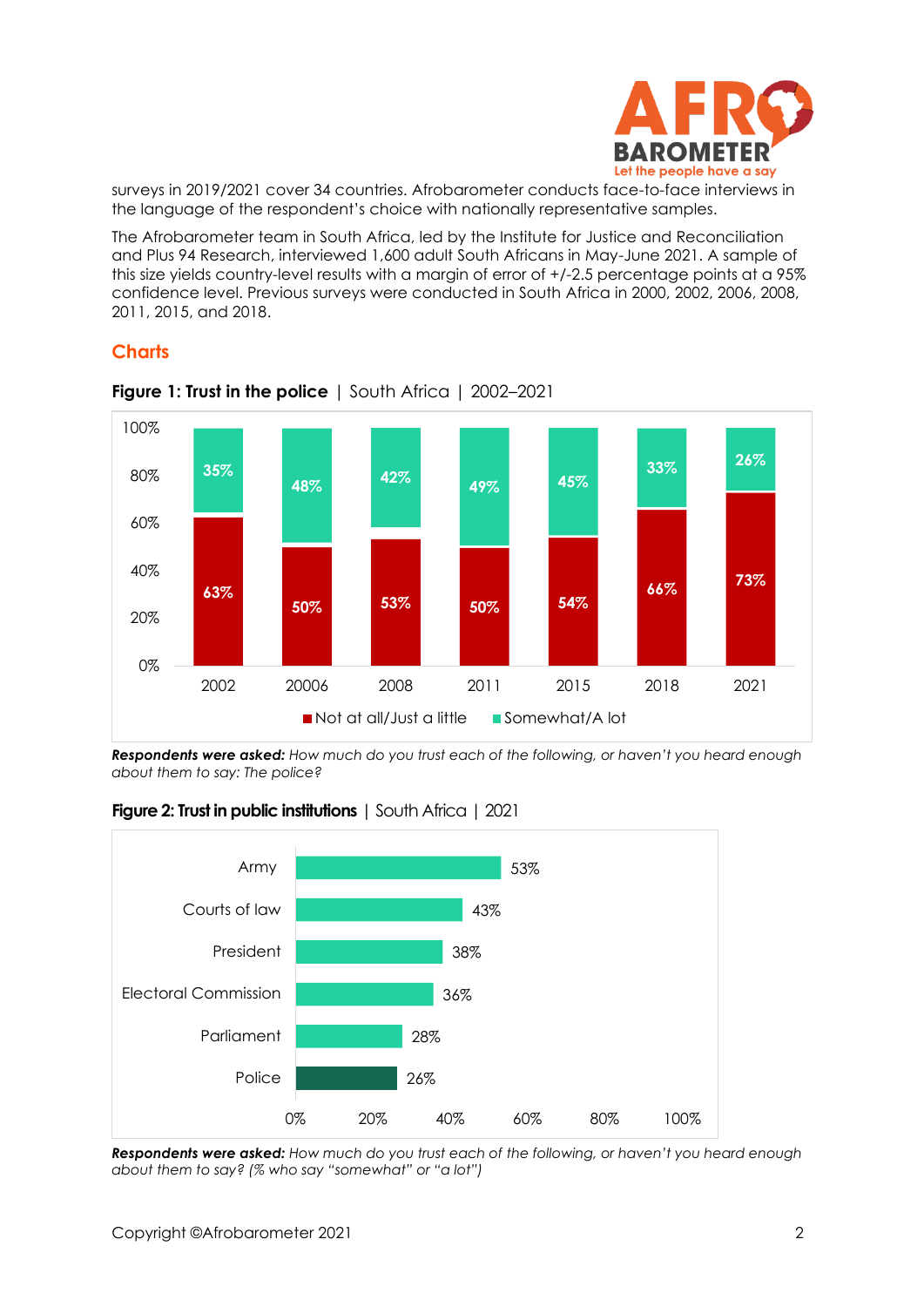

surveys in 2019/2021 cover 34 countries. Afrobarometer conducts face-to-face interviews in the language of the respondent's choice with nationally representative samples.

The Afrobarometer team in South Africa, led by the Institute for Justice and Reconciliation and Plus 94 Research, interviewed 1,600 adult South Africans in May-June 2021. A sample of this size yields country-level results with a margin of error of +/-2.5 percentage points at a 95% confidence level. Previous surveys were conducted in South Africa in 2000, 2002, 2006, 2008, 2011, 2015, and 2018.

## **Charts**



**Figure 1: Trust in the police** | South Africa | 2002–2021

*Respondents were asked: How much do you trust each of the following, or haven't you heard enough about them to say: The police?*



**Figure 2: Trust in public institutions** | South Africa | 2021

*Respondents were asked: How much do you trust each of the following, or haven't you heard enough about them to say? (% who say "somewhat" or "a lot")*